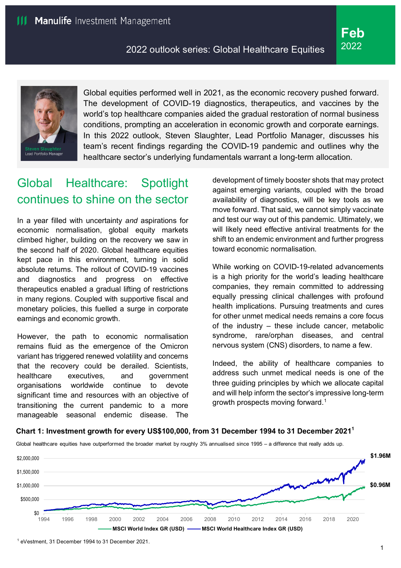

Global equities performed well in 2021, as the economic recovery pushed forward. The development of COVID-19 diagnostics, therapeutics, and vaccines by the world's top healthcare companies aided the gradual restoration of normal business conditions, prompting an acceleration in economic growth and corporate earnings. In this 2022 outlook, Steven Slaughter, Lead Portfolio Manager, discusses his team's recent findings regarding the COVID-19 pandemic and outlines why the healthcare sector's underlying fundamentals warrant a long-term allocation.

# Global Healthcare: Spotlight continues to shine on the sector

In a year filled with uncertainty *and* aspirations for economic normalisation, global equity markets climbed higher, building on the recovery we saw in the second half of 2020. Global healthcare equities kept pace in this environment, turning in solid absolute returns. The rollout of COVID-19 vaccines and diagnostics and progress on effective therapeutics enabled a gradual lifting of restrictions in many regions. Coupled with supportive fiscal and monetary policies, this fuelled a surge in corporate earnings and economic growth.

However, the path to economic normalisation remains fluid as the emergence of the Omicron variant has triggered renewed volatility and concerns that the recovery could be derailed. Scientists, healthcare executives, and government organisations worldwide continue to devote significant time and resources with an objective of transitioning the current pandemic to a more manageable seasonal endemic disease. The

development of timely booster shots that may protect against emerging variants, coupled with the broad availability of diagnostics, will be key tools as we move forward. That said, we cannot simply vaccinate and test our way out of this pandemic. Ultimately, we will likely need effective antiviral treatments for the shift to an endemic environment and further progress toward economic normalisation.

While working on COVID-19-related advancements is a high priority for the world's leading healthcare companies, they remain committed to addressing equally pressing clinical challenges with profound health implications. Pursuing treatments and cures for other unmet medical needs remains a core focus of the industry – these include cancer, metabolic syndrome, rare/orphan diseases, and central nervous system (CNS) disorders, to name a few.

Indeed, the ability of healthcare companies to address such unmet medical needs is one of the three guiding principles by which we allocate capital and will help inform the sector's impressive long-term growth prospects moving forward. [1](#page-0-0)

#### **Chart 1: Investment growth for every US\$100,000, from 31 December 1994 to 31 December 2021<sup>1</sup>**

Global healthcare equities have outperformed the broader market by roughly 3% annualised since 1995 – a difference that really adds up.



<span id="page-0-0"></span><sup>1</sup> eVestment, 31 December 1994 to 31 December 2021.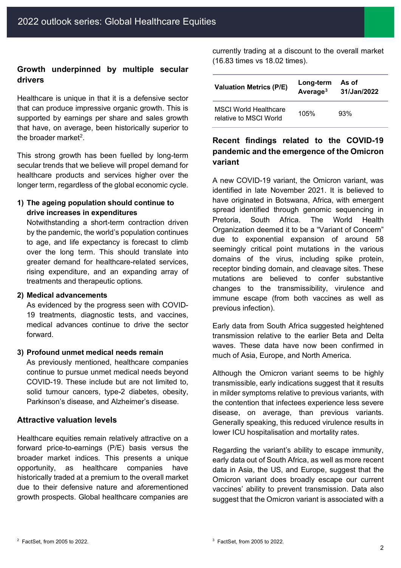### **Growth underpinned by multiple secular drivers**

Healthcare is unique in that it is a defensive sector that can produce impressive organic growth. This is supported by earnings per share and sales growth that have, on average, been historically superior to the broader market<sup>[2](#page-1-0)</sup>.

This strong growth has been fuelled by long-term secular trends that we believe will propel demand for healthcare products and services higher over the longer term, regardless of the global economic cycle.

### **1) The ageing population should continue to drive increases in expenditures**

Notwithstanding a short-term contraction driven by the pandemic, the world's population continues to age, and life expectancy is forecast to climb over the long term. This should translate into greater demand for healthcare-related services, rising expenditure, and an expanding array of treatments and therapeutic options.

#### **2) Medical advancements**

As evidenced by the progress seen with COVID-19 treatments, diagnostic tests, and vaccines, medical advances continue to drive the sector forward.

#### **3) Profound unmet medical needs remain**

As previously mentioned, healthcare companies continue to pursue unmet medical needs beyond COVID-19. These include but are not limited to, solid tumour cancers, type-2 diabetes, obesity, Parkinson's disease, and Alzheimer's disease.

#### **Attractive valuation levels**

Healthcare equities remain relatively attractive on a forward price-to-earnings (P/E) basis versus the broader market indices. This presents a unique opportunity, as healthcare companies have historically traded at a premium to the overall market due to their defensive nature and aforementioned growth prospects. Global healthcare companies are currently trading at a discount to the overall market (16.83 times vs 18.02 times).

| <b>Valuation Metrics (P/E)</b>                         | Long-term<br>Average <sup>3</sup> | As of<br>31/Jan/2022 |
|--------------------------------------------------------|-----------------------------------|----------------------|
| <b>MSCI World Healthcare</b><br>relative to MSCI World | 105%                              | 93%                  |

# **Recent findings related to the COVID-19 pandemic and the emergence of the Omicron variant**

A new COVID-19 variant, the Omicron variant, was identified in late November 2021. It is believed to have originated in Botswana, Africa, with emergent spread identified through genomic sequencing in Pretoria, South Africa. The World Health Organization deemed it to be a "Variant of Concern" due to exponential expansion of around 58 seemingly critical point mutations in the various domains of the virus, including spike protein, receptor binding domain, and cleavage sites. These mutations are believed to confer substantive changes to the transmissibility, virulence and immune escape (from both vaccines as well as previous infection).

Early data from South Africa suggested heightened transmission relative to the earlier Beta and Delta waves. These data have now been confirmed in much of Asia, Europe, and North America.

Although the Omicron variant seems to be highly transmissible, early indications suggest that it results in milder symptoms relative to previous variants, with the contention that infectees experience less severe disease, on average, than previous variants. Generally speaking, this reduced virulence results in lower ICU hospitalisation and mortality rates.

Regarding the variant's ability to escape immunity, early data out of South Africa, as well as more recent data in Asia, the US, and Europe, suggest that the Omicron variant does broadly escape our current vaccines' ability to prevent transmission. Data also suggest that the Omicron variant is associated with a

<span id="page-1-0"></span> $2$  FactSet, from 2005 to 2022.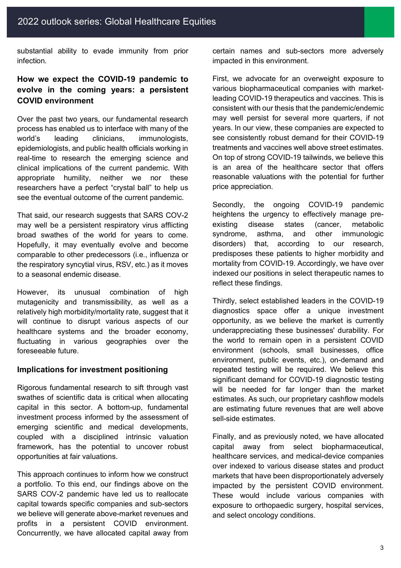substantial ability to evade immunity from prior infection.

# **How we expect the COVID-19 pandemic to evolve in the coming years: a persistent COVID environment**

Over the past two years, our fundamental research process has enabled us to interface with many of the world's leading clinicians, immunologists, epidemiologists, and public health officials working in real-time to research the emerging science and clinical implications of the current pandemic. With appropriate humility, neither we nor these researchers have a perfect "crystal ball" to help us see the eventual outcome of the current pandemic.

That said, our research suggests that SARS COV-2 may well be a persistent respiratory virus afflicting broad swathes of the world for years to come. Hopefully, it may eventually evolve and become comparable to other predecessors (i.e., influenza or the respiratory syncytial virus, RSV, etc.) as it moves to a seasonal endemic disease.

However, its unusual combination of high mutagenicity and transmissibility, as well as a relatively high morbidity/mortality rate, suggest that it will continue to disrupt various aspects of our healthcare systems and the broader economy, fluctuating in various geographies over the foreseeable future.

### **Implications for investment positioning**

Rigorous fundamental research to sift through vast swathes of scientific data is critical when allocating capital in this sector. A bottom-up, fundamental investment process informed by the assessment of emerging scientific and medical developments, coupled with a disciplined intrinsic valuation framework, has the potential to uncover robust opportunities at fair valuations.

This approach continues to inform how we construct a portfolio. To this end, our findings above on the SARS COV-2 pandemic have led us to reallocate capital towards specific companies and sub-sectors we believe will generate above-market revenues and profits in a persistent COVID environment. Concurrently, we have allocated capital away from certain names and sub-sectors more adversely impacted in this environment.

First, we advocate for an overweight exposure to various biopharmaceutical companies with marketleading COVID-19 therapeutics and vaccines. This is consistent with our thesis that the pandemic/endemic may well persist for several more quarters, if not years. In our view, these companies are expected to see consistently robust demand for their COVID-19 treatments and vaccines well above street estimates. On top of strong COVID-19 tailwinds, we believe this is an area of the healthcare sector that offers reasonable valuations with the potential for further price appreciation.

Secondly, the ongoing COVID-19 pandemic heightens the urgency to effectively manage preexisting disease states (cancer, metabolic syndrome, asthma, and other immunologic disorders) that, according to our research, predisposes these patients to higher morbidity and mortality from COVID-19. Accordingly, we have over indexed our positions in select therapeutic names to reflect these findings.

Thirdly, select established leaders in the COVID-19 diagnostics space offer a unique investment opportunity, as we believe the market is currently underappreciating these businesses' durability. For the world to remain open in a persistent COVID environment (schools, small businesses, office environment, public events, etc.), on-demand and repeated testing will be required. We believe this significant demand for COVID-19 diagnostic testing will be needed for far longer than the market estimates. As such, our proprietary cashflow models are estimating future revenues that are well above sell-side estimates.

Finally, and as previously noted, we have allocated capital away from select biopharmaceutical, healthcare services, and medical-device companies over indexed to various disease states and product markets that have been disproportionately adversely impacted by the persistent COVID environment. These would include various companies with exposure to orthopaedic surgery, hospital services, and select oncology conditions.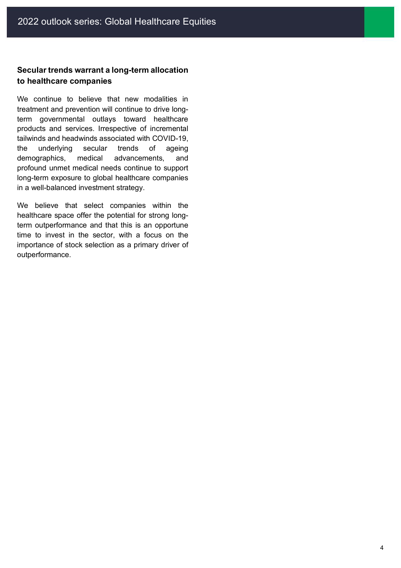# **Secular trends warrant a long-term allocation to healthcare companies**

We continue to believe that new modalities in treatment and prevention will continue to drive longterm governmental outlays toward healthcare products and services. Irrespective of incremental tailwinds and headwinds associated with COVID-19, the underlying secular trends of ageing demographics, medical advancements, and profound unmet medical needs continue to support long-term exposure to global healthcare companies in a well-balanced investment strategy.

We believe that select companies within the healthcare space offer the potential for strong longterm outperformance and that this is an opportune time to invest in the sector, with a focus on the importance of stock selection as a primary driver of outperformance.